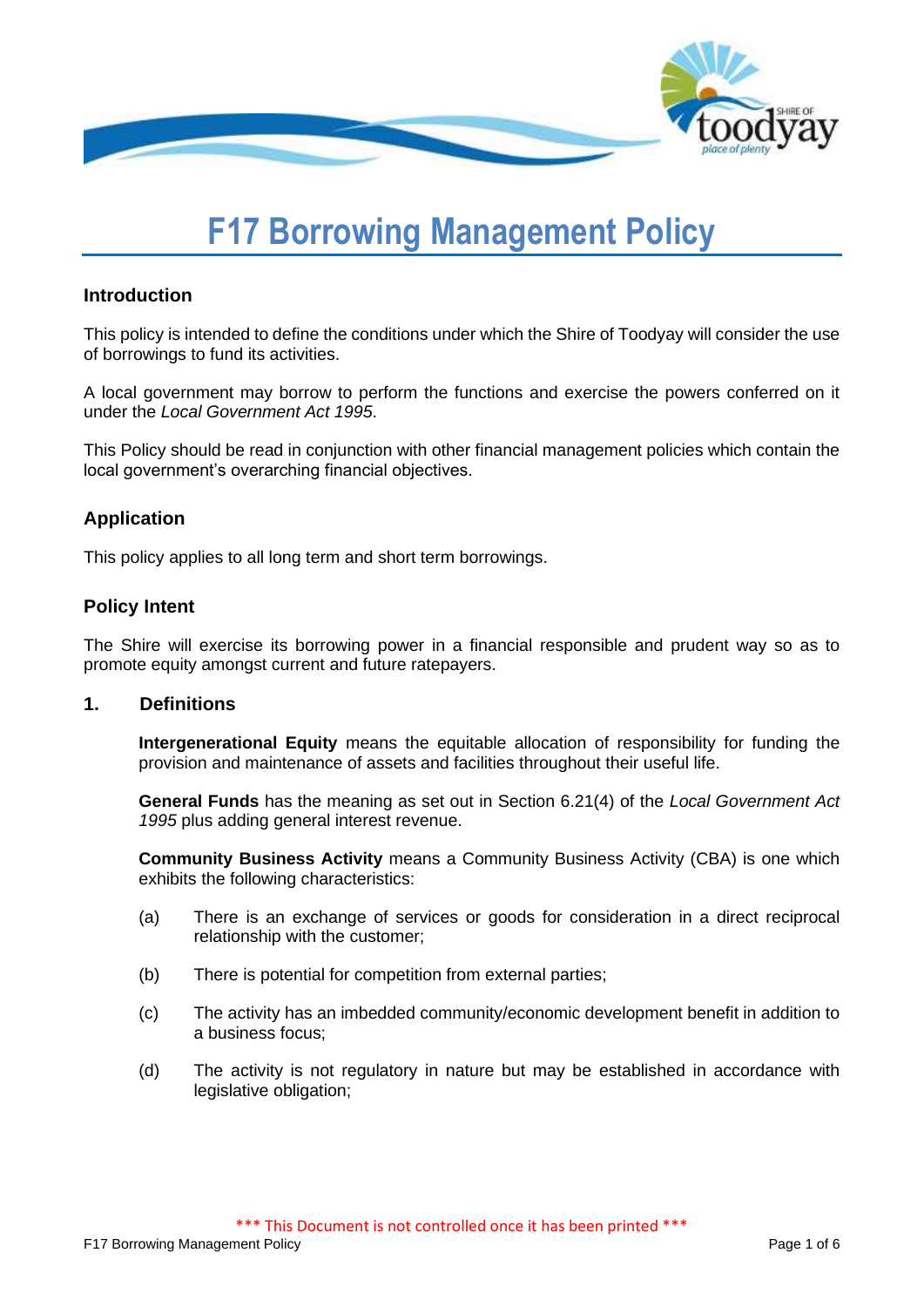

# **F17 Borrowing Management Policy**

# **Introduction**

This policy is intended to define the conditions under which the Shire of Toodyay will consider the use of borrowings to fund its activities.

A local government may borrow to perform the functions and exercise the powers conferred on it under the *Local Government Act 1995*.

This Policy should be read in conjunction with other financial management policies which contain the local government's overarching financial objectives.

# **Application**

This policy applies to all long term and short term borrowings.

# **Policy Intent**

The Shire will exercise its borrowing power in a financial responsible and prudent way so as to promote equity amongst current and future ratepayers.

# **1. Definitions**

**Intergenerational Equity** means the equitable allocation of responsibility for funding the provision and maintenance of assets and facilities throughout their useful life.

**General Funds** has the meaning as set out in Section 6.21(4) of the *Local Government Act 1995* plus adding general interest revenue.

**Community Business Activity** means a Community Business Activity (CBA) is one which exhibits the following characteristics:

- (a) There is an exchange of services or goods for consideration in a direct reciprocal relationship with the customer;
- (b) There is potential for competition from external parties;
- (c) The activity has an imbedded community/economic development benefit in addition to a business focus;
- (d) The activity is not regulatory in nature but may be established in accordance with legislative obligation;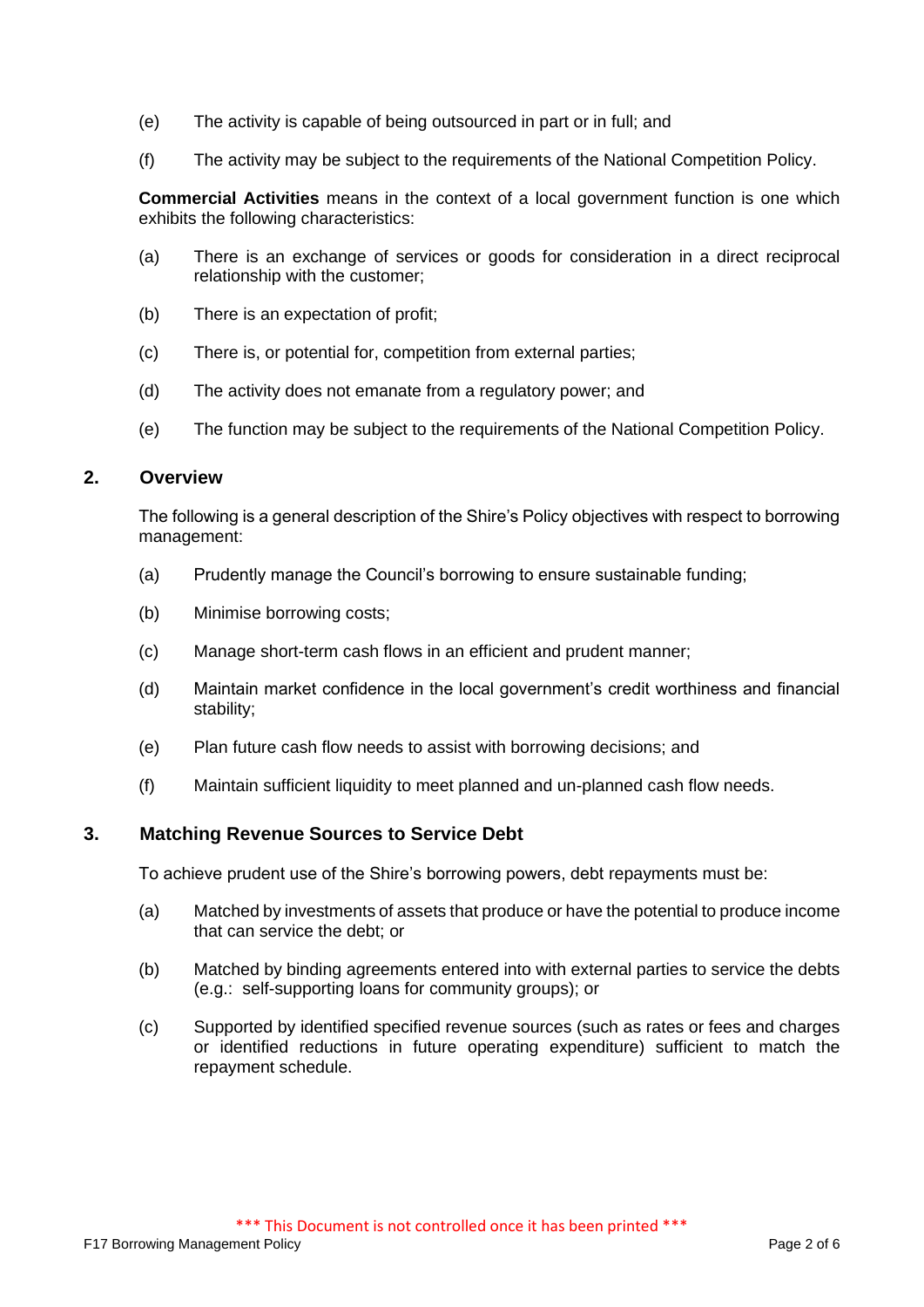- (e) The activity is capable of being outsourced in part or in full; and
- (f) The activity may be subject to the requirements of the National Competition Policy.

**Commercial Activities** means in the context of a local government function is one which exhibits the following characteristics:

- (a) There is an exchange of services or goods for consideration in a direct reciprocal relationship with the customer;
- (b) There is an expectation of profit;
- (c) There is, or potential for, competition from external parties;
- (d) The activity does not emanate from a regulatory power; and
- (e) The function may be subject to the requirements of the National Competition Policy.

# **2. Overview**

The following is a general description of the Shire's Policy objectives with respect to borrowing management:

- (a) Prudently manage the Council's borrowing to ensure sustainable funding;
- (b) Minimise borrowing costs;
- (c) Manage short-term cash flows in an efficient and prudent manner;
- (d) Maintain market confidence in the local government's credit worthiness and financial stability;
- (e) Plan future cash flow needs to assist with borrowing decisions; and
- (f) Maintain sufficient liquidity to meet planned and un-planned cash flow needs.

### **3. Matching Revenue Sources to Service Debt**

To achieve prudent use of the Shire's borrowing powers, debt repayments must be:

- (a) Matched by investments of assets that produce or have the potential to produce income that can service the debt; or
- (b) Matched by binding agreements entered into with external parties to service the debts (e.g.: self-supporting loans for community groups); or
- (c) Supported by identified specified revenue sources (such as rates or fees and charges or identified reductions in future operating expenditure) sufficient to match the repayment schedule.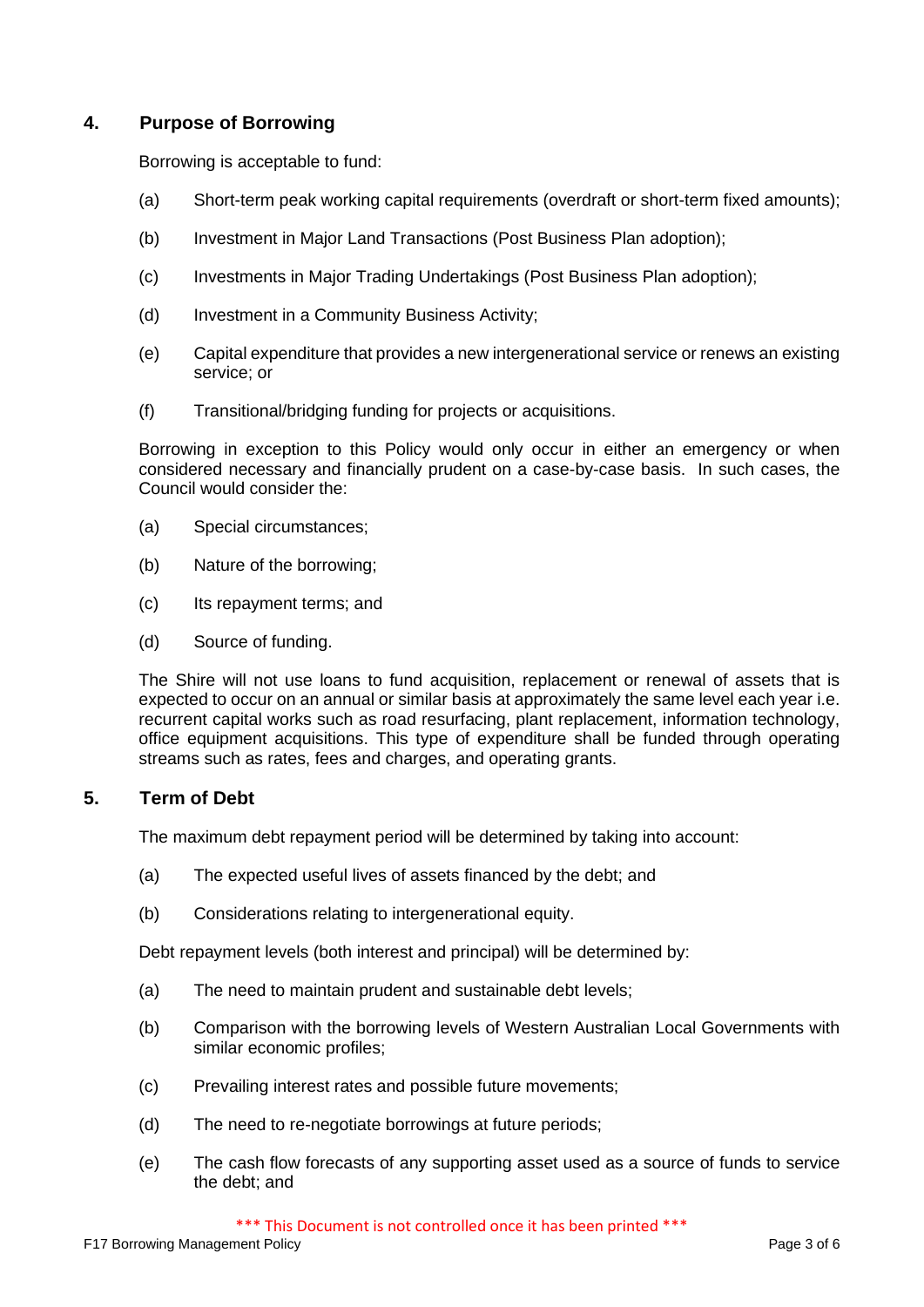# **4. Purpose of Borrowing**

Borrowing is acceptable to fund:

- (a) Short-term peak working capital requirements (overdraft or short-term fixed amounts);
- (b) Investment in Major Land Transactions (Post Business Plan adoption);
- (c) Investments in Major Trading Undertakings (Post Business Plan adoption);
- (d) Investment in a Community Business Activity;
- (e) Capital expenditure that provides a new intergenerational service or renews an existing service; or
- (f) Transitional/bridging funding for projects or acquisitions.

Borrowing in exception to this Policy would only occur in either an emergency or when considered necessary and financially prudent on a case-by-case basis. In such cases, the Council would consider the:

- (a) Special circumstances;
- (b) Nature of the borrowing;
- (c) Its repayment terms; and
- (d) Source of funding.

The Shire will not use loans to fund acquisition, replacement or renewal of assets that is expected to occur on an annual or similar basis at approximately the same level each year i.e. recurrent capital works such as road resurfacing, plant replacement, information technology, office equipment acquisitions. This type of expenditure shall be funded through operating streams such as rates, fees and charges, and operating grants.

# **5. Term of Debt**

The maximum debt repayment period will be determined by taking into account:

- (a) The expected useful lives of assets financed by the debt; and
- (b) Considerations relating to intergenerational equity.

Debt repayment levels (both interest and principal) will be determined by:

- (a) The need to maintain prudent and sustainable debt levels;
- (b) Comparison with the borrowing levels of Western Australian Local Governments with similar economic profiles;
- (c) Prevailing interest rates and possible future movements;
- (d) The need to re-negotiate borrowings at future periods;
- (e) The cash flow forecasts of any supporting asset used as a source of funds to service the debt; and

\*\*\* This Document is not controlled once it has been printed \*\*\*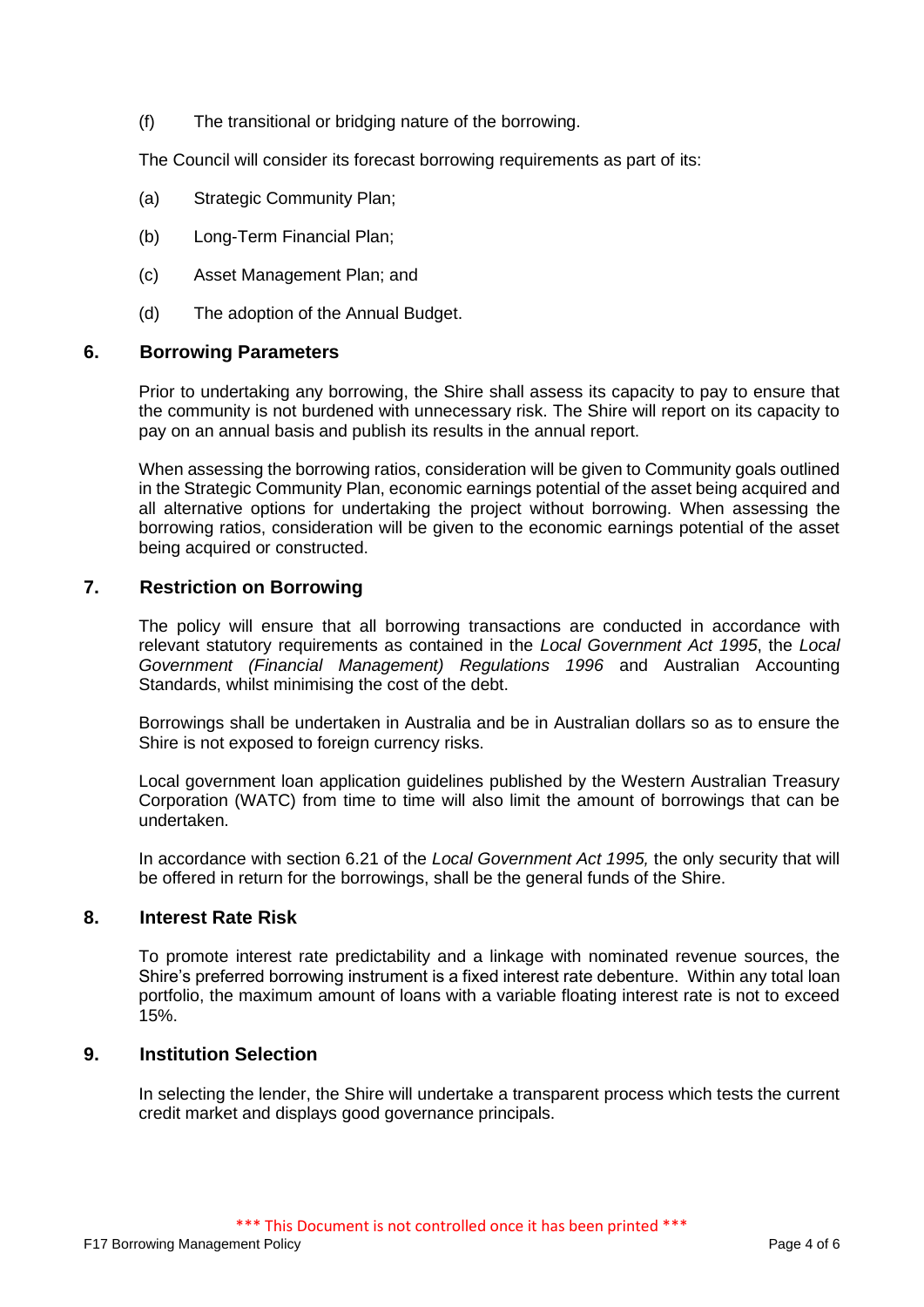(f) The transitional or bridging nature of the borrowing.

The Council will consider its forecast borrowing requirements as part of its:

- (a) Strategic Community Plan;
- (b) Long-Term Financial Plan;
- (c) Asset Management Plan; and
- (d) The adoption of the Annual Budget.

#### **6. Borrowing Parameters**

Prior to undertaking any borrowing, the Shire shall assess its capacity to pay to ensure that the community is not burdened with unnecessary risk. The Shire will report on its capacity to pay on an annual basis and publish its results in the annual report.

When assessing the borrowing ratios, consideration will be given to Community goals outlined in the Strategic Community Plan, economic earnings potential of the asset being acquired and all alternative options for undertaking the project without borrowing. When assessing the borrowing ratios, consideration will be given to the economic earnings potential of the asset being acquired or constructed.

# **7. Restriction on Borrowing**

The policy will ensure that all borrowing transactions are conducted in accordance with relevant statutory requirements as contained in the *Local Government Act 1995*, the *Local Government (Financial Management) Regulations 1996* and Australian Accounting Standards, whilst minimising the cost of the debt.

Borrowings shall be undertaken in Australia and be in Australian dollars so as to ensure the Shire is not exposed to foreign currency risks.

Local government loan application guidelines published by the Western Australian Treasury Corporation (WATC) from time to time will also limit the amount of borrowings that can be undertaken.

In accordance with section 6.21 of the *Local Government Act 1995,* the only security that will be offered in return for the borrowings, shall be the general funds of the Shire.

### **8. Interest Rate Risk**

To promote interest rate predictability and a linkage with nominated revenue sources, the Shire's preferred borrowing instrument is a fixed interest rate debenture. Within any total loan portfolio, the maximum amount of loans with a variable floating interest rate is not to exceed 15%.

# **9. Institution Selection**

In selecting the lender, the Shire will undertake a transparent process which tests the current credit market and displays good governance principals.